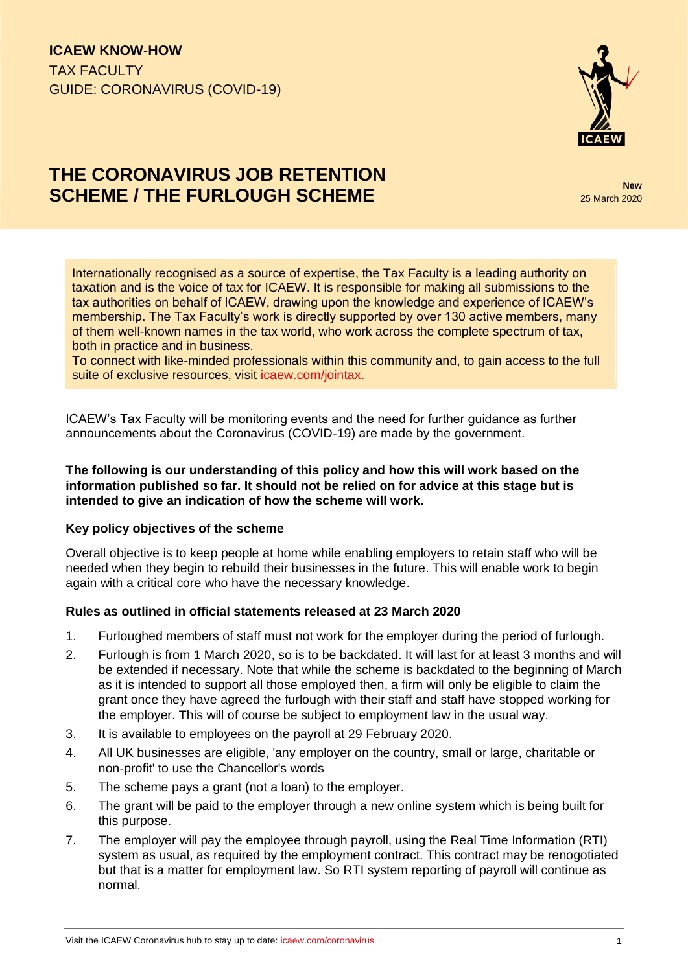

# **THE CORONAVIRUS JOB RETENTION SCHEME / THE FURLOUGH SCHEME**

25 March 2020

Internationally recognised as a source of expertise, the Tax Faculty is a leading authority on taxation and is the voice of tax for ICAEW. It is responsible for making all submissions to the tax authorities on behalf of ICAEW, drawing upon the knowledge and experience of ICAEW's membership. The Tax Faculty's work is directly supported by over 130 active members, many of them well-known names in the tax world, who work across the complete spectrum of tax, both in practice and in business.

To connect with like-minded professionals within this community and, to gain access to the full suite of exclusive resources, visit [icaew.com/jointax.](https://www.icaew.com/technical/tax/tax-faculty)

ICAEW's Tax Faculty will be monitoring events and the need for further guidance as further announcements about the Coronavirus (COVID-19) are made by the government.

### **The following is our understanding of this policy and how this will work based on the information published so far. It should not be relied on for advice at this stage but is intended to give an indication of how the scheme will work.**

## **Key policy objectives of the scheme**

Overall objective is to keep people at home while enabling employers to retain staff who will be needed when they begin to rebuild their businesses in the future. This will enable work to begin again with a critical core who have the necessary knowledge.

## **Rules as outlined in official statements released at 23 March 2020**

- 1. Furloughed members of staff must not work for the employer during the period of furlough.
- 2. Furlough is from 1 March 2020, so is to be backdated. It will last for at least 3 months and will be extended if necessary. Note that while the scheme is backdated to the beginning of March as it is intended to support all those employed then, a firm will only be eligible to claim the grant once they have agreed the furlough with their staff and staff have stopped working for the employer. This will of course be subject to employment law in the usual way.
- 3. It is available to employees on the payroll at 29 February 2020.
- 4. All UK businesses are eligible, 'any employer on the country, small or large, charitable or non-profit' to use the Chancellor's words
- 5. The scheme pays a grant (not a loan) to the employer.
- 6. The grant will be paid to the employer through a new online system which is being built for this purpose.
- 7. The employer will pay the employee through payroll, using the Real Time Information (RTI) system as usual, as required by the employment contract. This contract may be renogotiated but that is a matter for employment law. So RTI system reporting of payroll will continue as normal.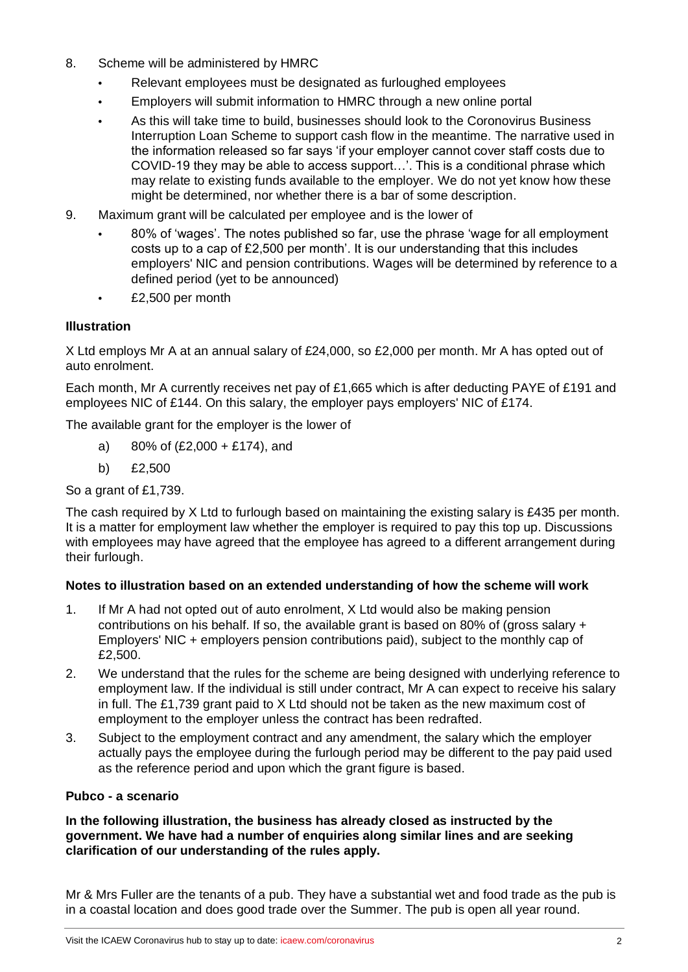- 8. Scheme will be administered by HMRC
	- **•** Relevant employees must be designated as furloughed employees
	- **•** Employers will submit information to HMRC through a new online portal
	- **•** As this will take time to build, businesses should look to the Coronovirus Business Interruption Loan Scheme to support cash flow in the meantime. The narrative used in the information released so far says 'if your employer cannot cover staff costs due to COVID-19 they may be able to access support…'. This is a conditional phrase which may relate to existing funds available to the employer. We do not yet know how these might be determined, nor whether there is a bar of some description.
- 9. Maximum grant will be calculated per employee and is the lower of
	- **•** 80% of 'wages'. The notes published so far, use the phrase 'wage for all employment costs up to a cap of £2,500 per month'. It is our understanding that this includes employers' NIC and pension contributions. Wages will be determined by reference to a defined period (yet to be announced)
	- **•** £2,500 per month

## **Illustration**

X Ltd employs Mr A at an annual salary of £24,000, so £2,000 per month. Mr A has opted out of auto enrolment.

Each month, Mr A currently receives net pay of £1,665 which is after deducting PAYE of £191 and employees NIC of £144. On this salary, the employer pays employers' NIC of £174.

The available grant for the employer is the lower of

- a) 80% of (£2,000 + £174), and
- b) £2,500

So a grant of £1,739.

The cash required by X Ltd to furlough based on maintaining the existing salary is £435 per month. It is a matter for employment law whether the employer is required to pay this top up. Discussions with employees may have agreed that the employee has agreed to a different arrangement during their furlough.

## **Notes to illustration based on an extended understanding of how the scheme will work**

- 1. If Mr A had not opted out of auto enrolment, X Ltd would also be making pension contributions on his behalf. If so, the available grant is based on 80% of (gross salary + Employers' NIC + employers pension contributions paid), subject to the monthly cap of £2,500.
- 2. We understand that the rules for the scheme are being designed with underlying reference to employment law. If the individual is still under contract, Mr A can expect to receive his salary in full. The £1,739 grant paid to X Ltd should not be taken as the new maximum cost of employment to the employer unless the contract has been redrafted.
- 3. Subject to the employment contract and any amendment, the salary which the employer actually pays the employee during the furlough period may be different to the pay paid used as the reference period and upon which the grant figure is based.

## **Pubco - a scenario**

**In the following illustration, the business has already closed as instructed by the government. We have had a number of enquiries along similar lines and are seeking clarification of our understanding of the rules apply.**

Mr & Mrs Fuller are the tenants of a pub. They have a substantial wet and food trade as the pub is in a coastal location and does good trade over the Summer. The pub is open all year round.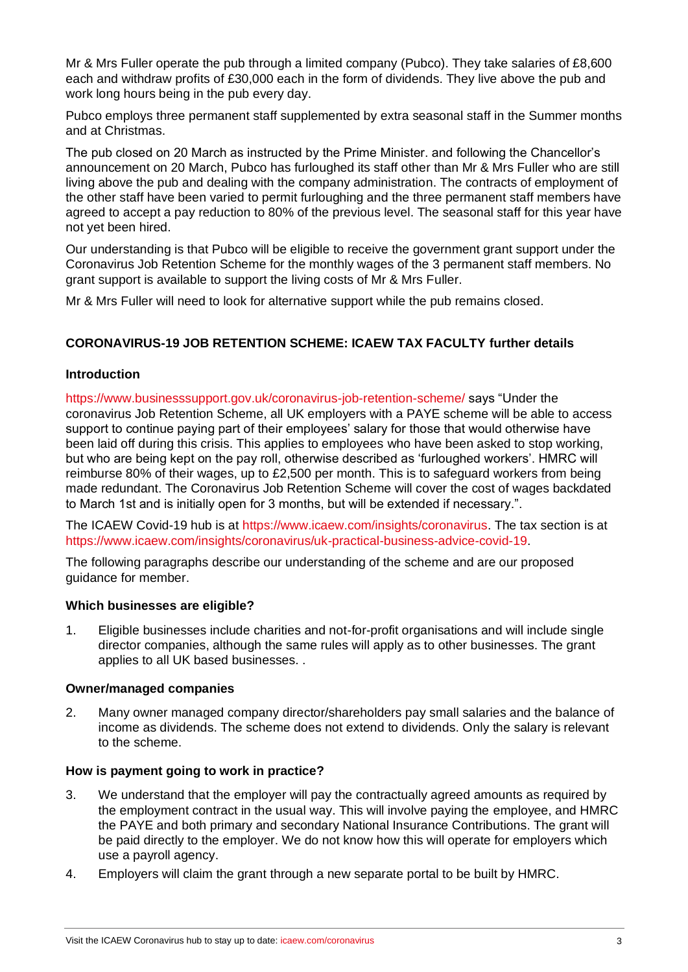Mr & Mrs Fuller operate the pub through a limited company (Pubco). They take salaries of £8,600 each and withdraw profits of £30,000 each in the form of dividends. They live above the pub and work long hours being in the pub every day.

Pubco employs three permanent staff supplemented by extra seasonal staff in the Summer months and at Christmas.

The pub closed on 20 March as instructed by the Prime Minister. and following the Chancellor's announcement on 20 March, Pubco has furloughed its staff other than Mr & Mrs Fuller who are still living above the pub and dealing with the company administration. The contracts of employment of the other staff have been varied to permit furloughing and the three permanent staff members have agreed to accept a pay reduction to 80% of the previous level. The seasonal staff for this year have not yet been hired.

Our understanding is that Pubco will be eligible to receive the government grant support under the Coronavirus Job Retention Scheme for the monthly wages of the 3 permanent staff members. No grant support is available to support the living costs of Mr & Mrs Fuller.

Mr & Mrs Fuller will need to look for alternative support while the pub remains closed.

## **CORONAVIRUS-19 JOB RETENTION SCHEME: ICAEW TAX FACULTY further details**

### **Introduction**

https://www.businesssupport.gov.uk/coronavirus-job-retention-scheme/ says "Under the coronavirus Job Retention Scheme, all UK employers with a PAYE scheme will be able to access support to continue paying part of their employees' salary for those that would otherwise have been laid off during this crisis. This applies to employees who have been asked to stop working, but who are being kept on the pay roll, otherwise described as 'furloughed workers'. HMRC will reimburse 80% of their wages, up to £2,500 per month. This is to safeguard workers from being made redundant. The Coronavirus Job Retention Scheme will cover the cost of wages backdated to March 1st and is initially open for 3 months, but will be extended if necessary.".

The ICAEW Covid-19 hub is at [https://www.icaew.com/insights/coronavirus.](https://www.icaew.com/insights/coronavirus) The tax section is at [https://www.icaew.com/insights/coronavirus/uk-practical-business-advice-covid-19.](https://www.icaew.com/insights/coronavirus/uk-practical-business-advice-covid-19)

The following paragraphs describe our understanding of the scheme and are our proposed guidance for member.

#### **Which businesses are eligible?**

1. Eligible businesses include charities and not-for-profit organisations and will include single director companies, although the same rules will apply as to other businesses. The grant applies to all UK based businesses. .

#### **Owner/managed companies**

2. Many owner managed company director/shareholders pay small salaries and the balance of income as dividends. The scheme does not extend to dividends. Only the salary is relevant to the scheme.

## **How is payment going to work in practice?**

- 3. We understand that the employer will pay the contractually agreed amounts as required by the employment contract in the usual way. This will involve paying the employee, and HMRC the PAYE and both primary and secondary National Insurance Contributions. The grant will be paid directly to the employer. We do not know how this will operate for employers which use a payroll agency.
- 4. Employers will claim the grant through a new separate portal to be built by HMRC.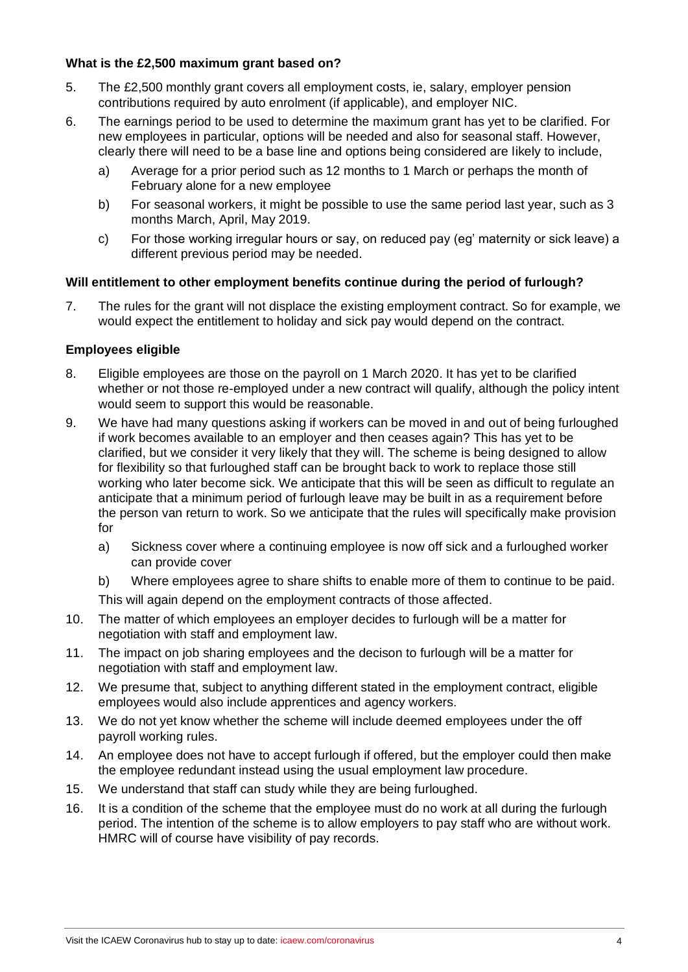## **What is the £2,500 maximum grant based on?**

- 5. The £2,500 monthly grant covers all employment costs, ie, salary, employer pension contributions required by auto enrolment (if applicable), and employer NIC.
- 6. The earnings period to be used to determine the maximum grant has yet to be clarified. For new employees in particular, options will be needed and also for seasonal staff. However, clearly there will need to be a base line and options being considered are likely to include,
	- a) Average for a prior period such as 12 months to 1 March or perhaps the month of February alone for a new employee
	- b) For seasonal workers, it might be possible to use the same period last year, such as 3 months March, April, May 2019.
	- c) For those working irregular hours or say, on reduced pay (eg' maternity or sick leave) a different previous period may be needed.

## **Will entitlement to other employment benefits continue during the period of furlough?**

7. The rules for the grant will not displace the existing employment contract. So for example, we would expect the entitlement to holiday and sick pay would depend on the contract.

## **Employees eligible**

- 8. Eligible employees are those on the payroll on 1 March 2020. It has yet to be clarified whether or not those re-employed under a new contract will qualify, although the policy intent would seem to support this would be reasonable.
- 9. We have had many questions asking if workers can be moved in and out of being furloughed if work becomes available to an employer and then ceases again? This has yet to be clarified, but we consider it very likely that they will. The scheme is being designed to allow for flexibility so that furloughed staff can be brought back to work to replace those still working who later become sick. We anticipate that this will be seen as difficult to regulate an anticipate that a minimum period of furlough leave may be built in as a requirement before the person van return to work. So we anticipate that the rules will specifically make provision for
	- a) Sickness cover where a continuing employee is now off sick and a furloughed worker can provide cover
	- b) Where employees agree to share shifts to enable more of them to continue to be paid.

This will again depend on the employment contracts of those affected.

- 10. The matter of which employees an employer decides to furlough will be a matter for negotiation with staff and employment law.
- 11. The impact on job sharing employees and the decison to furlough will be a matter for negotiation with staff and employment law.
- 12. We presume that, subject to anything different stated in the employment contract, eligible employees would also include apprentices and agency workers.
- 13. We do not yet know whether the scheme will include deemed employees under the off payroll working rules.
- 14. An employee does not have to accept furlough if offered, but the employer could then make the employee redundant instead using the usual employment law procedure.
- 15. We understand that staff can study while they are being furloughed.
- 16. It is a condition of the scheme that the employee must do no work at all during the furlough period. The intention of the scheme is to allow employers to pay staff who are without work. HMRC will of course have visibility of pay records.